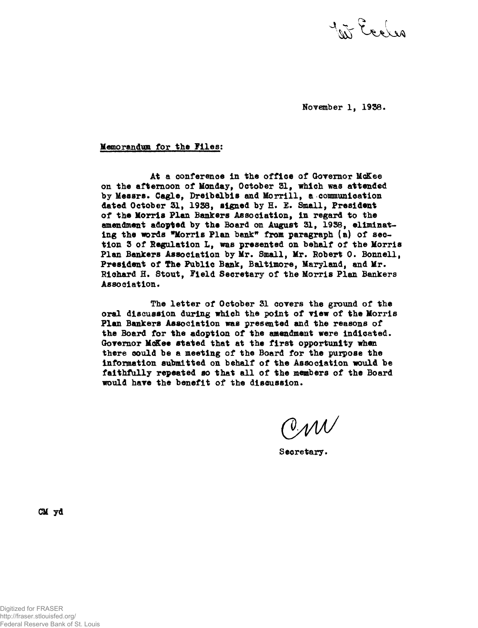In Eccles

November 1, 1958.

Memorandum for the Files;

At a conference in the office of Governor McKee on the afternoon of Monday, October 31, which was attended by Messrs. Cagle, Dreibelbis and Morrill, a communication dated October 31, 1938, signed by H. E. Small, President of the Morris Plan Bankers Association, in regard to the amendment adopted by the Board on August 31, 1933, eliminating the words "Morris Plan bank\* from paragraph (a) of section 3 of legulation L, was presented on behalf of the Morris Plan Bankers Association by Mr. Small, Mr. Robert O. Bonnell, President of The Public Bank, Baltimore, Maryland, and Mr. Richard H» Stout, field Secretary of the Morris Plan Bankers Association.

The letter of October 31 corers the ground of the oral discussion during which the point of view of the Morris Plan Bankers Association was presented and the reasons of the Board for the adoption of the amendment were indicated. Governor McKee stated that at the first opportunity when there could be a meeting of the Board for the purpose the information submitted on behalf of the Association would be faithfully repeated so that all of the members of the Board would have the benefit of the discussion.

 $\mathcal{CMV}$ 

Secretary.

CM yd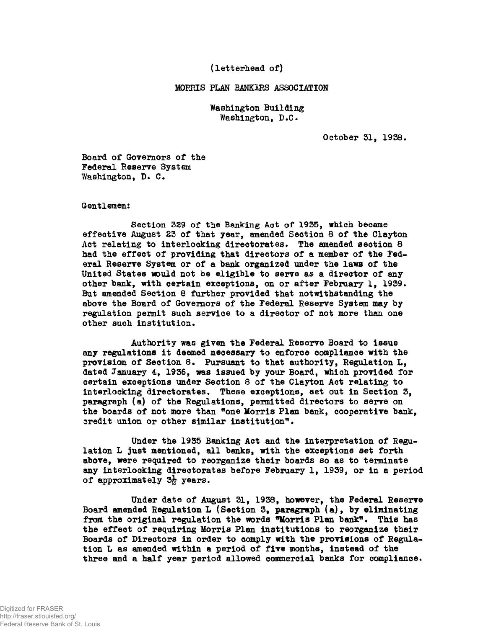**(letterhead of)**

## **MORRIS PLAN BANKIES ASSOCIATION**

**Washington Building Washington, D.C.**

**October 31, 1938.**

**Board of Governors of the Federal Reserve System Washington, D. C.**

## **Gentlemen:**

**Section 3S9 of the Banking Act of 1935, which became effective August 23 of that year, amended Section 8 of the Clayton** Act relating to interlocking directorates. The amended section 8 **had the effect of providing that directors of a member of the Federal Reserve System or of a bank organized under the laws of the United States mould not be eligible to serve as a director of any other bank, with certain exceptions, on or after February 1, 1939. But amended Section 8 further provided that notwithstanding the above the Board of Governors of the Federal Reserve System may by regulation permit such service to a director of not more than one other such institution.**

**Authority was given the Federal Reserve Board to issue any regulations it deemed necessary to enforce compliance with the provision of Section 8. Pursuant to that authority, Regulation L, dated January 4, 1936, was issued by your Board, which provided for certain exceptions under Section 8 of the Clayton Act relating to interlocking directorates. These exceptions, set out in Section 3, paragraph (a) of the Regulations, permitted directors to serve on the boards of not more than "one Morris Plan bank, cooperative bank, credit union or other similar institution<sup>1</sup>\*.**

**Under the 1935 Banking Act and the interpretation of Regulation L just mentioned, all banks, with the exceptions set forth above, were required to reorganize their boards so as to terminate any interlocking directorates before February 1, 1939, or in a period** of approximately 3<sup>}</sup> years.

**Under date of August 31, 1938, however, the Federal Reserve Board amended Regulation L (Section St paragraph (a), by eliminating from the original regulation the words Morris Plan bank\*. This has the effect of requiring Morris Plan institutions to reorganize their Boards of Directors in order to comply with the provisions of Regulation L as amended within a period of five months, instead of the three and a half year period allowed commercial banks for compliance.**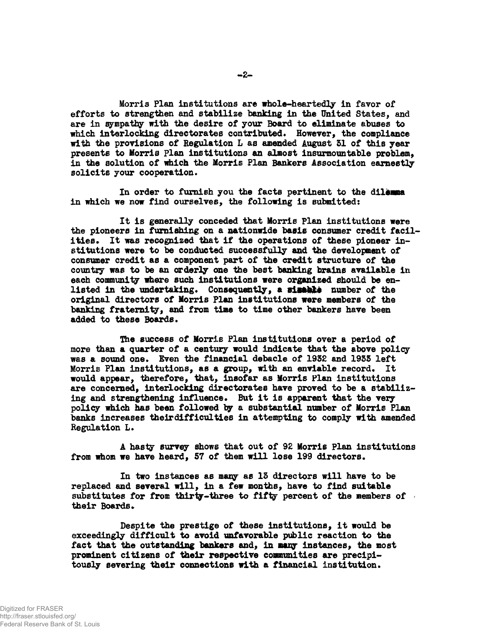**Morris Plan institutions are whole-heartedly in favor of efforts to strengthen and stabilize banking in the United States, and are in sympathy with the desire of your Board to eliminate abuses to** which interlocking directorates contributed. However, the compliance **with the provisions of Regulation L as amended August SI of tills year presents to Morris Flan institutions an almost insurmountable problem, in the solution of which the Morris Plan Bankers Association earnestly solicits your cooperation•**

**In order to furnish you the facts pertinent to the dilemma in which we now find ourselves, the following is submitted:**

**It is generally conceded that Morris Plan institutions were the pioneers in furnishing on a nationwide basis consumer credit facilities. It was recognized that if the operations of these pioneer institutions were to be conducted successfully and the development of consumer credit as a component part of the credit structure of the country was to be an orderly one the best banking brains available in each community where such institutions were organized should be en**listed in the undertaking. Consequently, a sisable number of the **original directors of Morris Plan institutions were members of the banking fraternity, and from time to time other bankers have been added to these Boards.**

**The success of Morris Plan institutions over a period of more than a quarter of a century would indicate that the above policy was a sound one\* Even the financial debacle of 1932 and 1935 left Morris Plan institutions, as a group, with an enviable record. It would appear, therefore, that, insofar as Morris Plan institutions are concerned, interlocking directorates have proved to be a stabiliz**ing and strengthening influence. But it is apparent that the very **policy which has been followed ty a substantial number of Morris Plan banks increases theirdifficulties in attempting to comply with amended Regulation L.**

**A hasty survey shows that out of 92 Morris Plan institutions from whom we have heard, 57 of them will lose 199 directors.**

**In two instances as many as 13 directors will have to be replaced and several will, in a few months, have to find suitable substitutes for from thirty-three to fifty percent of the members of** their **Boards**.

**Despite the prestige of these institutions, it would be exceedingly difficult to avoid unfavorable public reaction to the fact that the outstanding bankers and, in many instances, the most prominent citizens of their respective communities are precipitously severing their connections with a financial institution.**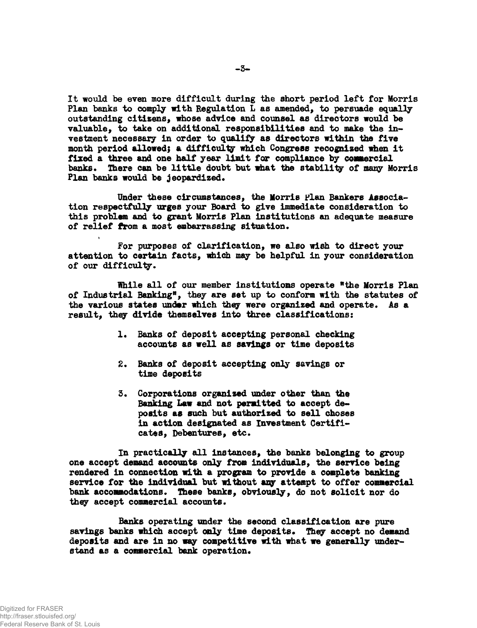**It would be even more difficult during the short period left for Morris Plan banks to comply with Regulation L as amended, to persuade equally outstanding citizens, whose advice and counsel as directors would be valuable, to take on additional responsibilities and to make the investment necessary in order to qualify as directors within the five month period allowed; a difficulty which Congress recognised when it fixed a three and one half year limit for compliance by commercial banks\* There can be little doubt but what the stability of many Morris Plan banks would be jeopardized.**

**Under these circumstances, the Morris plan Bankers Association respectfully urges your Board to give immediate consideration to this problem and to grant Morris Plan institutions an adequate measure** of relief from a most embarrassing situation.

**For purposes of clarification, we also wish to direct your attention to certain facts, which may be helpful in your consideration of our difficulty •**

**While all of our member institutions operate <sup>w</sup>the Morris Plan of Industrial Banking<sup>9</sup>, they are set up to conform with the statutes of the various states under which they were organized and operate. As a result, they divide themselves into three classifications:**

- 1. Banks of deposit accepting personal checking **accounts as well as savings or time deposits**
- **2. Banks of deposit accepting only savings or time deposits**
- **3. Corporations organised under other than the Banking Law and not permitted to accept deposits as such but authorised to sell choses in action designated as Investment Certificates, Debentures, etc.**

**In practically all instances, the banks belonging to group one accept demand accounts only from individuals, the service being rendered in connection with a program to provide a complete banking service for the individual but without any attempt to offer commercial bank accommodations. These banks, obviously, do not solicit nor do they accept commercial accounts.**

**Banks operating under the second classification are pure** savings banks which accept only time deposits. They accept no demand **deposits and are in no way competitive with what we generally understand as a commercial bank operation.**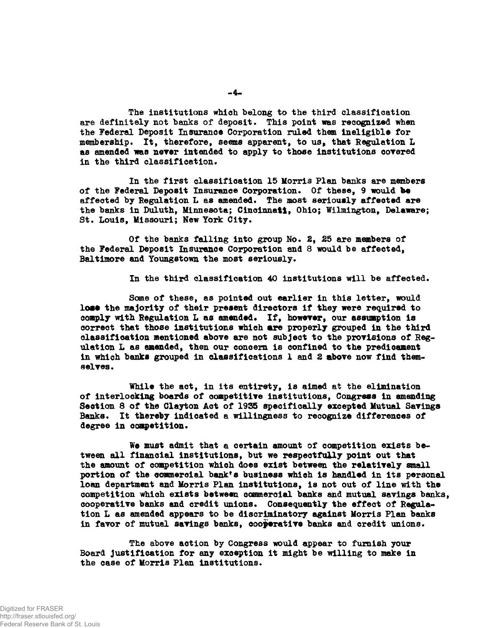**The institutions which belong to the third classification are definitely not banks of deposit. This point was recognized when the Federal Deposit Insurance Corporation ruled them ineligible for** membership. It, therefore, seems apparent, to us, that Regulation L **as amended was never intended to apply to those institutions covered in the third classification.**

**In the first classification 15 Morris Plan banks are members** of the Federal Deposit Insurance Corporation. Of these, 9 would be **affected by Regulation L as amended. The most seriously affected are the banks in Duluth, Minnesota; Cincinnati, Ohio; Wilmington, Delaware; St. Louis, Missouri; New York City.**

Of the banks falling into group No. 2, 25 are members of **the Federal Deposit Insurance Corporation and 8 would be affected, Baltimore and Youngstown the most seriously.**

**In the third classification 40 institutions will be affected.**

**Some of these, as pointed out earlier in this letter, would** lose the majority of their present directors if they were required to **comply with Regulation L as amended. If, however, our assumption is correct that those institutions which are properly grouped in the third classification mentioned above are not subject to the provisions of Regulation L as amended, then our concern is confined to the predicament in which banks grouped in classifications 1 and Z above now find themselves.**

**While the act, in its entirety, is aimed at the elimination of interlocking boards of competitive institutions, Congress in amending Seotion 8 of the Clayton Act of 19S5 specifically excepted Mutual Savings Banks. It thereby indicated a willingness to recognize differences of degree in competition.**

**We must admit that a certain amount of competition exists between all financial institutions, but we respectfully point out that the amount of competition which does exist between the relatively small portion of the commercial bank's business which is handled in its personal loan department and Morris Plan institutions, is not out of line with the competition which exists between commercial banks and mutual savings banks, cooperative banks and credit unions. Consequently the effect of Regulation L as amended appears to be discriminatory against Morris Plan banks in favor of mutual savings banks, cooperative banks and credit unions.**

**The above action by Congress would appear to furnish your Board justification for any exception it might be willing to make in** the case of Morris Plan institutions.